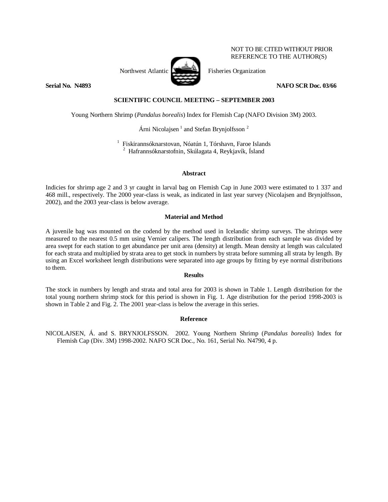

NOT TO BE CITED WITHOUT PRIOR REFERENCE TO THE AUTHOR(S)

**Serial No. N4893** NAFO SCR Doc. 03/66

# **SCIENTIFIC COUNCIL MEETING – SEPTEMBER 2003**

Young Northern Shrimp (*Pandalus borealis*) Index for Flemish Cap (NAFO Division 3M) 2003.

Árni Nicolajsen $<sup>1</sup>$  and Stefan Brynjolfsson<sup>2</sup></sup>

<sup>1</sup> Fiskirannsóknarstovan, Nóatún 1, Tórshavn, Faroe Islands 2 Hafrannsóknarstofnin, Skúlagata 4, Reykjavík, Ísland

#### **Abstract**

Indicies for shrimp age 2 and 3 yr caught in larval bag on Flemish Cap in June 2003 were estimated to 1 337 and 468 mill., respectively. The 2000 year-class is weak, as indicated in last year survey (Nicolajsen and Brynjolfsson, 2002), and the 2003 year-class is below average.

#### **Material and Method**

A juvenile bag was mounted on the codend by the method used in Icelandic shrimp surveys. The shrimps were measured to the nearest 0.5 mm using Vernier calipers. The length distribution from each sample was divided by area swept for each station to get abundance per unit area (density) at length. Mean density at length was calculated for each strata and multiplied by strata area to get stock in numbers by strata before summing all strata by length. By using an Excel worksheet length distributions were separated into age groups by fitting by eye normal distributions to them.

### **Results**

The stock in numbers by length and strata and total area for 2003 is shown in Table 1. Length distribution for the total young northern shrimp stock for this period is shown in Fig. 1. Age distribution for the period 1998-2003 is shown in Table 2 and Fig. 2. The 2001 year-class is below the average in this series.

## **Reference**

NICOLAJSEN, Á. and S. BRYNJOLFSSON. 2002. Young Northern Shrimp (*Pandalus borealis*) Index for Flemish Cap (Div. 3M) 1998-2002. NAFO SCR Doc., No. 161, Serial No. N4790, 4 p.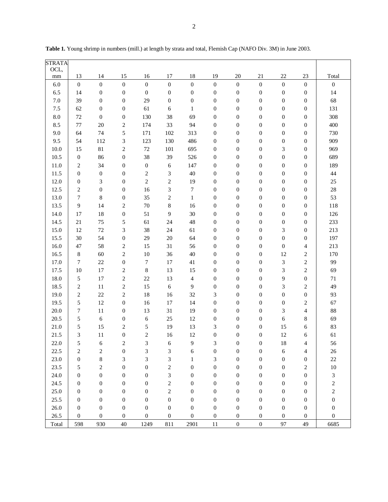| <b>STRATA</b> |                  |                  |                             |                  |                             |                  |                  |                  |                  |                  |                         |                         |
|---------------|------------------|------------------|-----------------------------|------------------|-----------------------------|------------------|------------------|------------------|------------------|------------------|-------------------------|-------------------------|
| OCL,          |                  |                  |                             |                  |                             |                  |                  |                  |                  |                  |                         |                         |
| $\rm mm$      | 13               | 14               | 15                          | 16               | 17                          | 18               | 19               | 20               | 21               | 22               | 23                      | Total                   |
| $6.0\,$       | $\boldsymbol{0}$ | $\boldsymbol{0}$ | $\boldsymbol{0}$            | $\boldsymbol{0}$ | $\boldsymbol{0}$            | $\boldsymbol{0}$ | $\boldsymbol{0}$ | $\boldsymbol{0}$ | $\boldsymbol{0}$ | $\boldsymbol{0}$ | $\boldsymbol{0}$        | $\boldsymbol{0}$        |
| 6.5           | 14               | $\boldsymbol{0}$ | $\boldsymbol{0}$            | $\boldsymbol{0}$ | $\boldsymbol{0}$            | $\boldsymbol{0}$ | $\boldsymbol{0}$ | $\boldsymbol{0}$ | $\boldsymbol{0}$ | $\boldsymbol{0}$ | $\boldsymbol{0}$        | 14                      |
| $7.0\,$       | 39               | $\boldsymbol{0}$ | $\boldsymbol{0}$            | 29               | $\boldsymbol{0}$            | $\boldsymbol{0}$ | $\boldsymbol{0}$ | $\boldsymbol{0}$ | $\boldsymbol{0}$ | $\boldsymbol{0}$ | $\boldsymbol{0}$        | 68                      |
| 7.5           | 62               | $\boldsymbol{0}$ | $\boldsymbol{0}$            | 61               | 6                           | $\mathbf{1}$     | $\boldsymbol{0}$ | $\boldsymbol{0}$ | $\boldsymbol{0}$ | $\boldsymbol{0}$ | $\boldsymbol{0}$        | 131                     |
| 8.0           | 72               | $\boldsymbol{0}$ | $\boldsymbol{0}$            | 130              | 38                          | 69               | $\boldsymbol{0}$ | $\boldsymbol{0}$ | $\boldsymbol{0}$ | $\boldsymbol{0}$ | $\boldsymbol{0}$        | 308                     |
| 8.5           | 77               | 20               | $\sqrt{2}$                  | 174              | 33                          | 94               | $\boldsymbol{0}$ | $\boldsymbol{0}$ | $\boldsymbol{0}$ | $\boldsymbol{0}$ | $\boldsymbol{0}$        | 400                     |
| 9.0           | 64               | 74               | 5                           | 171              | 102                         | 313              | $\boldsymbol{0}$ | $\boldsymbol{0}$ | $\boldsymbol{0}$ | $\boldsymbol{0}$ | $\boldsymbol{0}$        | 730                     |
| 9.5           | 54               | 112              | 3                           | 123              | 130                         | 486              | $\boldsymbol{0}$ | $\boldsymbol{0}$ | $\boldsymbol{0}$ | $\boldsymbol{0}$ | $\boldsymbol{0}$        | 909                     |
| 10.0          | 15               | 81               | $\sqrt{2}$                  | $72\,$           | 101                         | 695              | $\boldsymbol{0}$ | $\boldsymbol{0}$ | $\boldsymbol{0}$ | 3                | $\boldsymbol{0}$        | 969                     |
| 10.5          | $\boldsymbol{0}$ | 86               | $\boldsymbol{0}$            | 38               | 39                          | 526              | $\boldsymbol{0}$ | $\boldsymbol{0}$ | $\boldsymbol{0}$ | $\boldsymbol{0}$ | $\boldsymbol{0}$        | 689                     |
| 11.0          | $\sqrt{2}$       | 34               | $\boldsymbol{0}$            | $\boldsymbol{0}$ | 6                           | 147              | $\boldsymbol{0}$ | $\boldsymbol{0}$ | $\boldsymbol{0}$ | $\boldsymbol{0}$ | $\boldsymbol{0}$        | 189                     |
| 11.5          | $\boldsymbol{0}$ | $\boldsymbol{0}$ | $\boldsymbol{0}$            | $\sqrt{2}$       | $\mathfrak{Z}$              | $40\,$           | $\boldsymbol{0}$ | $\boldsymbol{0}$ | $\boldsymbol{0}$ | $\boldsymbol{0}$ | $\boldsymbol{0}$        | 44                      |
| 12.0          | $\boldsymbol{0}$ | 3                | $\boldsymbol{0}$            | $\sqrt{2}$       | $\boldsymbol{2}$            | 19               | $\boldsymbol{0}$ | $\boldsymbol{0}$ | $\boldsymbol{0}$ | $\boldsymbol{0}$ | $\boldsymbol{0}$        | $25\,$                  |
| 12.5          | $\sqrt{2}$       | $\boldsymbol{0}$ | $\boldsymbol{0}$            | 16               | 3                           | $\boldsymbol{7}$ | $\boldsymbol{0}$ | $\boldsymbol{0}$ | $\boldsymbol{0}$ | $\boldsymbol{0}$ | $\boldsymbol{0}$        | $28\,$                  |
| 13.0          | $\boldsymbol{7}$ | 8                | $\boldsymbol{0}$            | 35               | $\sqrt{2}$                  | $\mathbf{1}$     | $\boldsymbol{0}$ | $\boldsymbol{0}$ | $\boldsymbol{0}$ | $\boldsymbol{0}$ | $\boldsymbol{0}$        | 53                      |
| 13.5          | $\overline{9}$   | 14               | $\sqrt{2}$                  | $70\,$           | $\,$ 8 $\,$                 | 16               | $\boldsymbol{0}$ | $\boldsymbol{0}$ | $\boldsymbol{0}$ | $\boldsymbol{0}$ | $\boldsymbol{0}$        | 118                     |
| 14.0          | 17               | 18               | $\boldsymbol{0}$            | 51               | $\mathbf{9}$                | 30               | $\boldsymbol{0}$ | $\boldsymbol{0}$ | $\boldsymbol{0}$ | $\boldsymbol{0}$ | $\boldsymbol{0}$        | 126                     |
| 14.5          | 21               | 75               | 5                           | 61               | 24                          | 48               | $\boldsymbol{0}$ | $\boldsymbol{0}$ | $\boldsymbol{0}$ | $\boldsymbol{0}$ | $\boldsymbol{0}$        | 233                     |
| 15.0          | 12               | $72\,$           | $\ensuremath{\mathfrak{Z}}$ | 38               | 24                          | 61               | $\boldsymbol{0}$ | $\boldsymbol{0}$ | $\boldsymbol{0}$ | 3                | $\boldsymbol{0}$        | 213                     |
| 15.5          | 30               | 54               | $\boldsymbol{0}$            | 29               | $20\,$                      | 64               | $\boldsymbol{0}$ | $\boldsymbol{0}$ | $\boldsymbol{0}$ | $\boldsymbol{0}$ | $\boldsymbol{0}$        | 197                     |
| 16.0          | 47               | 58               | $\overline{c}$              | 15               | 31                          | 56               | $\boldsymbol{0}$ | $\boldsymbol{0}$ | $\boldsymbol{0}$ | $\boldsymbol{0}$ | $\overline{4}$          | 213                     |
| 16.5          | $\,8\,$          | 60               | $\sqrt{2}$                  | $10\,$           | 36                          | $40\,$           | $\boldsymbol{0}$ | $\boldsymbol{0}$ | $\boldsymbol{0}$ | 12               | $\overline{c}$          | 170                     |
| 17.0          | 7                | $22\,$           | $\boldsymbol{0}$            | $\boldsymbol{7}$ | 17                          | 41               | $\boldsymbol{0}$ | $\boldsymbol{0}$ | $\boldsymbol{0}$ | 3                | $\overline{c}$          | 99                      |
| 17.5          | 10               | 17               | $\sqrt{2}$                  | $\,8\,$          | 13                          | 15               | $\boldsymbol{0}$ | $\boldsymbol{0}$ | $\boldsymbol{0}$ | 3                | $\overline{c}$          | 69                      |
| 18.0          | $\sqrt{5}$       | 17               | $\overline{c}$              | $22\,$           | 13                          | $\overline{4}$   | $\boldsymbol{0}$ | $\boldsymbol{0}$ | $\boldsymbol{0}$ | 9                | $\boldsymbol{0}$        | $71\,$                  |
| 18.5          | $\sqrt{2}$       | 11               | $\sqrt{2}$                  | 15               | $\epsilon$                  | $\mathbf{9}$     | $\boldsymbol{0}$ | $\boldsymbol{0}$ | $\boldsymbol{0}$ | 3                | $\overline{c}$          | 49                      |
| 19.0          | $\sqrt{2}$       | 22               | $\sqrt{2}$                  | 18               | 16                          | 32               | 3                | $\boldsymbol{0}$ | $\boldsymbol{0}$ | $\boldsymbol{0}$ | $\boldsymbol{0}$        | 93                      |
| 19.5          | $\mathfrak s$    | 12               | $\boldsymbol{0}$            | 16               | 17                          | 14               | $\boldsymbol{0}$ | $\boldsymbol{0}$ | $\boldsymbol{0}$ | $\boldsymbol{0}$ | $\mathbf{2}$            | 67                      |
| 20.0          | 7                | 11               | $\boldsymbol{0}$            | 13               | 31                          | 19               | $\boldsymbol{0}$ | $\boldsymbol{0}$ | $\boldsymbol{0}$ | 3                | 4                       | 88                      |
| 20.5          | $\mathfrak s$    | 6                | $\boldsymbol{0}$            | $\sqrt{6}$       | 25                          | 12               | $\boldsymbol{0}$ | $\boldsymbol{0}$ | $\boldsymbol{0}$ | $\sqrt{6}$       | $\,8\,$                 | 69                      |
| $21.0\,$      | 5                | 15               | $\sqrt{2}$                  | 5                | 19                          | 13               | 3                | $\boldsymbol{0}$ | $\boldsymbol{0}$ | 15               | 6                       | 83                      |
| 21.5          | $\mathfrak{Z}$   | $11\,$           | $\boldsymbol{0}$            | $\sqrt{2}$       | 16                          | 12               | $\boldsymbol{0}$ | $\boldsymbol{0}$ | $\boldsymbol{0}$ | 12               | 6                       | 61                      |
| 22.0          | 5                | 6                | $\overline{\mathbf{c}}$     | 3                | 6                           | 9                | 3                | $\boldsymbol{0}$ | $\boldsymbol{0}$ | 18               | 4                       | 56                      |
| 22.5          | $\sqrt{2}$       | $\overline{c}$   | $\boldsymbol{0}$            | $\mathfrak{Z}$   | $\ensuremath{\mathfrak{Z}}$ | 6                | $\boldsymbol{0}$ | $\boldsymbol{0}$ | $\boldsymbol{0}$ | $\sqrt{6}$       | 4                       | $26\,$                  |
| 23.0          | $\boldsymbol{0}$ | $\,8\,$          | 3                           | 3                | $\mathfrak{Z}$              | $\mathbf{1}$     | 3                | $\boldsymbol{0}$ | $\boldsymbol{0}$ | $\boldsymbol{0}$ | $\boldsymbol{0}$        | $22\,$                  |
| 23.5          | $\sqrt{5}$       | $\overline{c}$   | $\boldsymbol{0}$            | $\boldsymbol{0}$ | $\boldsymbol{2}$            | $\boldsymbol{0}$ | $\boldsymbol{0}$ | $\boldsymbol{0}$ | $\boldsymbol{0}$ | $\boldsymbol{0}$ | $\overline{\mathbf{c}}$ | $10\,$                  |
| 24.0          | $\boldsymbol{0}$ | $\boldsymbol{0}$ | $\boldsymbol{0}$            | $\boldsymbol{0}$ | 3                           | $\boldsymbol{0}$ | $\boldsymbol{0}$ | $\boldsymbol{0}$ | $\boldsymbol{0}$ | $\boldsymbol{0}$ | $\boldsymbol{0}$        | $\sqrt{3}$              |
| 24.5          | $\boldsymbol{0}$ | $\boldsymbol{0}$ | $\boldsymbol{0}$            | $\boldsymbol{0}$ | $\sqrt{2}$                  | $\boldsymbol{0}$ | $\boldsymbol{0}$ | $\boldsymbol{0}$ | $\boldsymbol{0}$ | $\boldsymbol{0}$ | $\boldsymbol{0}$        | $\overline{\mathbf{c}}$ |
| 25.0          | $\boldsymbol{0}$ | $\boldsymbol{0}$ | $\boldsymbol{0}$            | $\boldsymbol{0}$ | $\sqrt{2}$                  | $\boldsymbol{0}$ | $\boldsymbol{0}$ | $\boldsymbol{0}$ | $\boldsymbol{0}$ | $\boldsymbol{0}$ | $\boldsymbol{0}$        | $\overline{c}$          |
| 25.5          | $\boldsymbol{0}$ | $\boldsymbol{0}$ | $\boldsymbol{0}$            | $\boldsymbol{0}$ | $\boldsymbol{0}$            | $\boldsymbol{0}$ | $\boldsymbol{0}$ | $\boldsymbol{0}$ | $\boldsymbol{0}$ | $\boldsymbol{0}$ | $\boldsymbol{0}$        | $\boldsymbol{0}$        |
| $26.0\,$      | $\boldsymbol{0}$ | $\boldsymbol{0}$ | $\boldsymbol{0}$            | $\boldsymbol{0}$ | $\boldsymbol{0}$            | $\boldsymbol{0}$ | $\boldsymbol{0}$ | $\boldsymbol{0}$ | $\boldsymbol{0}$ | $\boldsymbol{0}$ | $\boldsymbol{0}$        | $\boldsymbol{0}$        |
| 26.5          | $\boldsymbol{0}$ | $\boldsymbol{0}$ | $\boldsymbol{0}$            | $\boldsymbol{0}$ | $\boldsymbol{0}$            | $\boldsymbol{0}$ | $\boldsymbol{0}$ | $\boldsymbol{0}$ | $\boldsymbol{0}$ | $\boldsymbol{0}$ | $\boldsymbol{0}$        | $\boldsymbol{0}$        |
| Total         | 598              | 930              | 40                          | 1249             | 811                         | 2901             | $11\,$           | $\boldsymbol{0}$ | $\boldsymbol{0}$ | 97               | 49                      | 6685                    |

**Table 1.** Young shrimp in numbers (mill.) at length by strata and total, Flemish Cap (NAFO Div. 3M) in June 2003.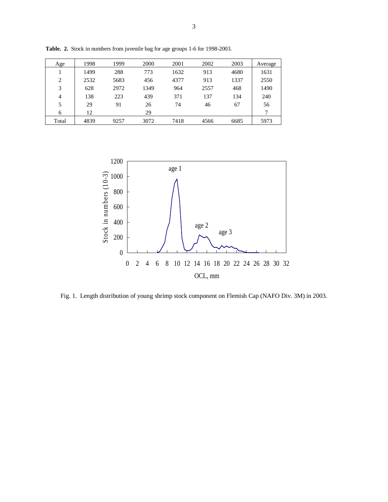| Age            | 1998 | 1999 | 2000 | 2001 | 2002 | 2003 | Average |
|----------------|------|------|------|------|------|------|---------|
|                | 1499 | 288  | 773  | 1632 | 913  | 4680 | 1631    |
| $\overline{c}$ | 2532 | 5683 | 456  | 4377 | 913  | 1337 | 2550    |
| 3              | 628  | 2972 | 1349 | 964  | 2557 | 468  | 1490    |
| $\overline{4}$ | 138  | 223  | 439  | 371  | 137  | 134  | 240     |
| 5              | 29   | 91   | 26   | 74   | 46   | 67   | 56      |
| 6              | 12   |      | 29   |      |      |      | 7       |
| Total          | 4839 | 9257 | 3072 | 7418 | 4566 | 6685 | 5973    |

**Table. 2.** Stock in numbers from juvenile bag for age groups 1-6 for 1998-2003.



Fig. 1. Length distribution of young shrimp stock component on Flemish Cap (NAFO Div. 3M) in 2003.